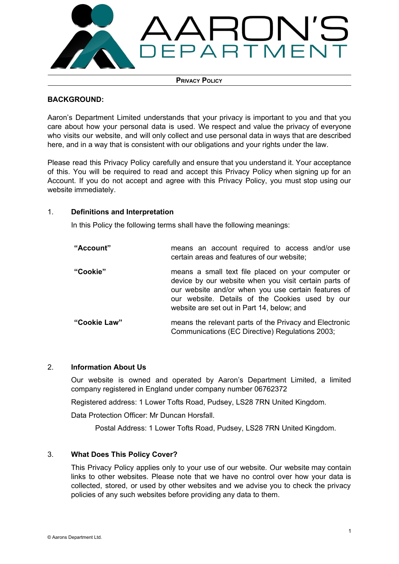

**PRIVACY POLICY**

## **BACKGROUND:**

Aaron's Department Limited understands that your privacy is important to you and that you care about how your personal data is used. We respect and value the privacy of everyone who visits our website, and will only collect and use personal data in ways that are described here, and in a way that is consistent with our obligations and your rights under the law.

Please read this Privacy Policy carefully and ensure that you understand it. Your acceptance of this. You will be required to read and accept this Privacy Policy when signing up for an Account. If you do not accept and agree with this Privacy Policy, you must stop using our website immediately.

## 1. **Definitions and Interpretation**

In this Policy the following terms shall have the following meanings:

| "Account"    | means an account required to access and/or use<br>certain areas and features of our website;                                                                                                                                                                        |
|--------------|---------------------------------------------------------------------------------------------------------------------------------------------------------------------------------------------------------------------------------------------------------------------|
| "Cookie"     | means a small text file placed on your computer or<br>device by our website when you visit certain parts of<br>our website and/or when you use certain features of<br>our website. Details of the Cookies used by our<br>website are set out in Part 14, below; and |
| "Cookie Law" | means the relevant parts of the Privacy and Electronic<br>Communications (EC Directive) Regulations 2003;                                                                                                                                                           |

## 2. **Information About Us**

Our website is owned and operated by Aaron's Department Limited, a limited company registered in England under company number 06762372

Registered address: 1 Lower Tofts Road, Pudsey, LS28 7RN United Kingdom.

Data Protection Officer: Mr Duncan Horsfall.

Postal Address: 1 Lower Tofts Road, Pudsey, LS28 7RN United Kingdom.

## 3. **What Does This Policy Cover?**

This Privacy Policy applies only to your use of our website. Our website may contain links to other websites. Please note that we have no control over how your data is collected, stored, or used by other websites and we advise you to check the privacy policies of any such websites before providing any data to them.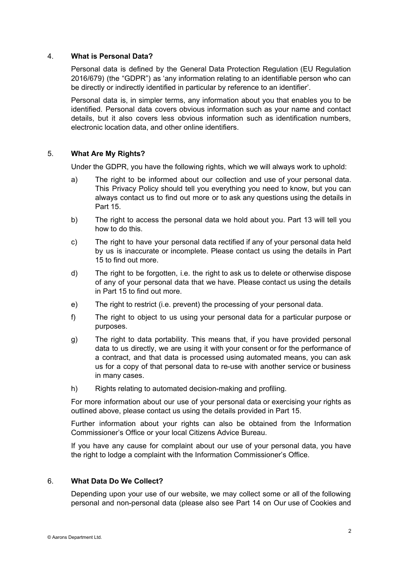## 4. **What is Personal Data?**

Personal data is defined by the General Data Protection Regulation (EU Regulation 2016/679) (the "GDPR") as 'any information relating to an identifiable person who can be directly or indirectly identified in particular by reference to an identifier'.

Personal data is, in simpler terms, any information about you that enables you to be identified. Personal data covers obvious information such as your name and contact details, but it also covers less obvious information such as identification numbers, electronic location data, and other online identifiers.

### 5. **What Are My Rights?**

Under the GDPR, you have the following rights, which we will always work to uphold:

- a) The right to be informed about our collection and use of your personal data. This Privacy Policy should tell you everything you need to know, but you can always contact us to find out more or to ask any questions using the details in Part 15.
- b) The right to access the personal data we hold about you. Part 13 will tell you how to do this.
- c) The right to have your personal data rectified if any of your personal data held by us is inaccurate or incomplete. Please contact us using the details in Part 15 to find out more.
- d) The right to be forgotten, i.e. the right to ask us to delete or otherwise dispose of any of your personal data that we have. Please contact us using the details in Part 15 to find out more.
- e) The right to restrict (i.e. prevent) the processing of your personal data.
- f) The right to object to us using your personal data for a particular purpose or purposes.
- g) The right to data portability. This means that, if you have provided personal data to us directly, we are using it with your consent or for the performance of a contract, and that data is processed using automated means, you can ask us for a copy of that personal data to re-use with another service or business in many cases.
- h) Rights relating to automated decision-making and profiling.

For more information about our use of your personal data or exercising your rights as outlined above, please contact us using the details provided in Part 15.

Further information about your rights can also be obtained from the Information Commissioner's Office or your local Citizens Advice Bureau.

If you have any cause for complaint about our use of your personal data, you have the right to lodge a complaint with the Information Commissioner's Office.

# 6. **What Data Do We Collect?**

Depending upon your use of our website, we may collect some or all of the following personal and non-personal data (please also see Part 14 on Our use of Cookies and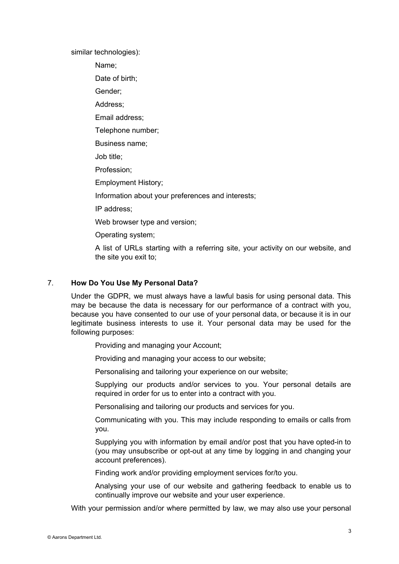similar technologies):

Name;

Date of birth;

Gender;

Address;

Email address;

Telephone number;

Business name;

Job title;

Profession;

Employment History;

Information about your preferences and interests;

IP address;

Web browser type and version;

Operating system;

A list of URLs starting with a referring site, your activity on our website, and the site you exit to;

## 7. **How Do You Use My Personal Data?**

Under the GDPR, we must always have a lawful basis for using personal data. This may be because the data is necessary for our performance of a contract with you, because you have consented to our use of your personal data, or because it is in our legitimate business interests to use it. Your personal data may be used for the following purposes:

Providing and managing your Account;

Providing and managing your access to our website;

Personalising and tailoring your experience on our website;

Supplying our products and/or services to you. Your personal details are required in order for us to enter into a contract with you.

Personalising and tailoring our products and services for you.

Communicating with you. This may include responding to emails or calls from you.

Supplying you with information by email and/or post that you have opted-in to (you may unsubscribe or opt-out at any time by logging in and changing your account preferences).

Finding work and/or providing employment services for/to you.

Analysing your use of our website and gathering feedback to enable us to continually improve our website and your user experience.

With your permission and/or where permitted by law, we may also use your personal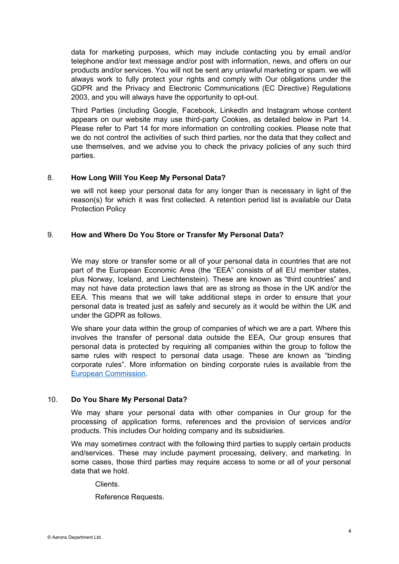data for marketing purposes, which may include contacting you by email and/or telephone and/or text message and/or post with information, news, and offers on our products and/or services. You will not be sent any unlawful marketing or spam. we will always work to fully protect your rights and comply with Our obligations under the GDPR and the Privacy and Electronic Communications (EC Directive) Regulations 2003, and you will always have the opportunity to opt-out.

Third Parties (including Google, Facebook, LinkedIn and Instagram whose content appears on our website may use third-party Cookies, as detailed below in Part 14. Please refer to Part 14 for more information on controlling cookies. Please note that we do not control the activities of such third parties, nor the data that they collect and use themselves, and we advise you to check the privacy policies of any such third parties.

## 8. **How Long Will You Keep My Personal Data?**

we will not keep your personal data for any longer than is necessary in light of the reason(s) for which it was first collected. A retention period list is available our Data Protection Policy

### 9. **How and Where Do You Store or Transfer My Personal Data?**

We may store or transfer some or all of your personal data in countries that are not part of the European Economic Area (the "EEA" consists of all EU member states, plus Norway, Iceland, and Liechtenstein). These are known as "third countries" and may not have data protection laws that are as strong as those in the UK and/or the EEA. This means that we will take additional steps in order to ensure that your personal data is treated just as safely and securely as it would be within the UK and under the GDPR as follows.

We share your data within the group of companies of which we are a part. Where this involves the transfer of personal data outside the EEA, Our group ensures that personal data is protected by requiring all companies within the group to follow the same rules with respect to personal data usage. These are known as "binding corporate rules". More information on binding corporate rules is available from the European [Commission.](https://ec.europa.eu/info/law/law-topic/data-protection/data-transfers-outside-eu/binding-corporate-rules_en)

## 10. **Do You Share My Personal Data?**

We may share your personal data with other companies in Our group for the processing of application forms, references and the provision of services and/or products. This includes Our holding company and its subsidiaries.

We may sometimes contract with the following third parties to supply certain products and/services. These may include payment processing, delivery, and marketing. In some cases, those third parties may require access to some or all of your personal data that we hold.

Clients.

Reference Requests.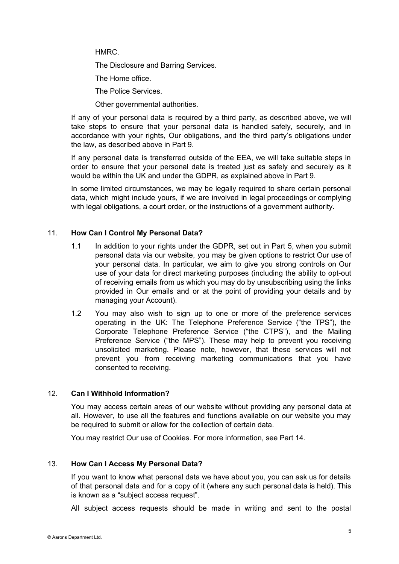HMRC.

The Disclosure and Barring Services.

The Home office.

The Police Services.

Other governmental authorities.

If any of your personal data is required by a third party, as described above, we will take steps to ensure that your personal data is handled safely, securely, and in accordance with your rights, Our obligations, and the third party's obligations under the law, as described above in Part 9.

If any personal data is transferred outside of the EEA, we will take suitable steps in order to ensure that your personal data is treated just as safely and securely as it would be within the UK and under the GDPR, as explained above in Part 9.

In some limited circumstances, we may be legally required to share certain personal data, which might include yours, if we are involved in legal proceedings or complying with legal obligations, a court order, or the instructions of a government authority.

### 11. **How Can I Control My Personal Data?**

- 1.1 In addition to your rights under the GDPR, set out in Part 5, when you submit personal data via our website, you may be given options to restrict Our use of your personal data. In particular, we aim to give you strong controls on Our use of your data for direct marketing purposes (including the ability to opt-out of receiving emails from us which you may do by unsubscribing using the links provided in Our emails and or at the point of providing your details and by managing your Account).
- 1.2 You may also wish to sign up to one or more of the preference services operating in the UK: The Telephone Preference Service ("the TPS"), the Corporate Telephone Preference Service ("the CTPS"), and the Mailing Preference Service ("the MPS"). These may help to prevent you receiving unsolicited marketing. Please note, however, that these services will not prevent you from receiving marketing communications that you have consented to receiving.

## 12. **Can I Withhold Information?**

You may access certain areas of our website without providing any personal data at all. However, to use all the features and functions available on our website you may be required to submit or allow for the collection of certain data.

You may restrict Our use of Cookies. For more information, see Part 14.

#### 13. **How Can I Access My Personal Data?**

If you want to know what personal data we have about you, you can ask us for details of that personal data and for a copy of it (where any such personal data is held). This is known as a "subject access request".

All subject access requests should be made in writing and sent to the postal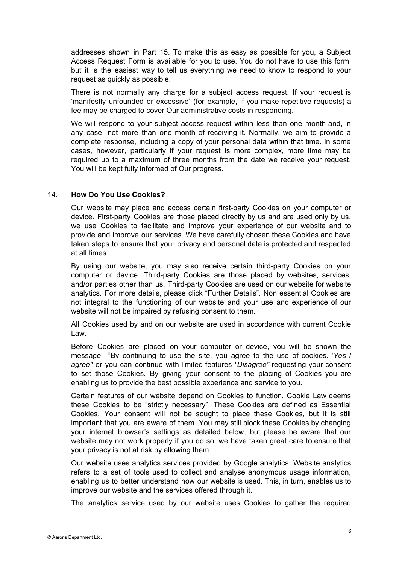addresses shown in Part 15. To make this as easy as possible for you, a Subject Access Request Form is available for you to use. You do not have to use this form, but it is the easiest way to tell us everything we need to know to respond to your request as quickly as possible.

There is not normally any charge for a subject access request. If your request is 'manifestly unfounded or excessive' (for example, if you make repetitive requests) a fee may be charged to cover Our administrative costs in responding.

We will respond to your subject access request within less than one month and, in any case, not more than one month of receiving it. Normally, we aim to provide a complete response, including a copy of your personal data within that time. In some cases, however, particularly if your request is more complex, more time may be required up to a maximum of three months from the date we receive your request. You will be kept fully informed of Our progress.

### 14. **How Do You Use Cookies?**

Our website may place and access certain first-party Cookies on your computer or device. First-party Cookies are those placed directly by us and are used only by us. we use Cookies to facilitate and improve your experience of our website and to provide and improve our services. We have carefully chosen these Cookies and have taken steps to ensure that your privacy and personal data is protected and respected at all times.

By using our website, you may also receive certain third-party Cookies on your computer or device. Third-party Cookies are those placed by websites, services, and/or parties other than us. Third-party Cookies are used on our website for website analytics. For more details, please click "Further Details". Non essential Cookies are not integral to the functioning of our website and your use and experience of our website will not be impaired by refusing consent to them.

All Cookies used by and on our website are used in accordance with current Cookie Law.

Before Cookies are placed on your computer or device, you will be shown the message "By continuing to use the site, you agree to the use of cookies. '*Yes I agree"* or you can continue with limited features *"Disagree"* requesting your consent to set those Cookies. By giving your consent to the placing of Cookies you are enabling us to provide the best possible experience and service to you.

Certain features of our website depend on Cookies to function. Cookie Law deems these Cookies to be "strictly necessary". These Cookies are defined as Essential Cookies. Your consent will not be sought to place these Cookies, but it is still important that you are aware of them. You may still block these Cookies by changing your internet browser's settings as detailed below, but please be aware that our website may not work properly if you do so. we have taken great care to ensure that your privacy is not at risk by allowing them.

Our website uses analytics services provided by Google analytics. Website analytics refers to a set of tools used to collect and analyse anonymous usage information, enabling us to better understand how our website is used. This, in turn, enables us to improve our website and the services offered through it.

The analytics service used by our website uses Cookies to gather the required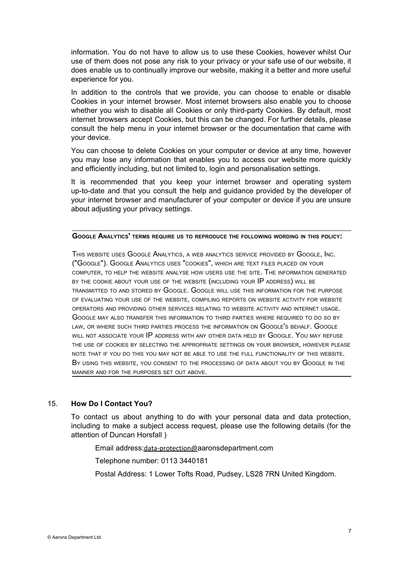information. You do not have to allow us to use these Cookies, however whilst Our use of them does not pose any risk to your privacy or your safe use of our website, it does enable us to continually improve our website, making it a better and more useful experience for you.

In addition to the controls that we provide, you can choose to enable or disable Cookies in your internet browser. Most internet browsers also enable you to choose whether you wish to disable all Cookies or only third-party Cookies. By default, most internet browsers accept Cookies, but this can be changed. For further details, please consult the help menu in your internet browser or the documentation that came with your device.

You can choose to delete Cookies on your computer or device at any time, however you may lose any information that enables you to access our website more quickly and efficiently including, but not limited to, login and personalisation settings.

It is recommended that you keep your internet browser and operating system up-to-date and that you consult the help and guidance provided by the developer of your internet browser and manufacturer of your computer or device if you are unsure about adjusting your privacy settings.

**GOOGLE ANALYTICS' TERMS REQUIRE US TO REPRODUCE THE FOLLOWING WORDING IN THIS POLICY:**

THIS WEBSITE USES GOOGLE ANALYTICS, <sup>A</sup> WEB ANALYTICS SERVICE PROVIDED BY GOOGLE, INC. ("GOOGLE"). GOOGLE ANALYTICS USES "COOKIES", WHICH ARE TEXT FILES PLACED ON YOUR COMPUTER, TO HELP THE WEBSITE ANALYSE HOW USERS USE THE SITE. THE INFORMATION GENERATED BY THE COOKIE ABOUT YOUR USE OF THE WEBSITE (INCLUDING YOUR IP ADDRESS) WILL BE TRANSMITTED TO AND STORED BY GOOGLE. GOOGLE WILL USE THIS INFORMATION FOR THE PURPOSE OF EVALUATING YOUR USE OF THE WEBSITE, COMPILING REPORTS ON WEBSITE ACTIVITY FOR WEBSITE OPERATORS AND PROVIDING OTHER SERVICES RELATING TO WEBSITE ACTIVITY AND INTERNET USAGE. GOOGLE MAY ALSO TRANSFER THIS INFORMATION TO THIRD PARTIES WHERE REQUIRED TO DO SO BY LAW, OR WHERE SUCH THIRD PARTIES PROCESS THE INFORMATION ON GOOGLE'<sup>S</sup> BEHALF. GOOGLE WILL NOT ASSOCIATE YOUR IP ADDRESS WITH ANY OTHER DATA HELD BY GOOGLE. YOU MAY REFUSE THE USE OF COOKIES BY SELECTING THE APPROPRIATE SETTINGS ON YOUR BROWSER, HOWEVER PLEASE NOTE THAT IF YOU DO THIS YOU MAY NOT BE ABLE TO USE THE FULL FUNCTIONALITY OF THIS WEBSITE. BY USING THIS WEBSITE, YOU CONSENT TO THE PROCESSING OF DATA ABOUT YOU BY GOOGLE IN THE MANNER AND FOR THE PURPOSES SET OUT ABOVE.

## 15. **How Do I Contact You?**

To contact us about anything to do with your personal data and data protection, including to make a subject access request, please use the following details (for the attention of Duncan Horsfall )

Email address:[data-protection@](mailto:data-protection@medilinknursing.com)aaronsdepartment.com

Telephone number: 0113 3440181

Postal Address: 1 Lower Tofts Road, Pudsey, LS28 7RN United Kingdom.